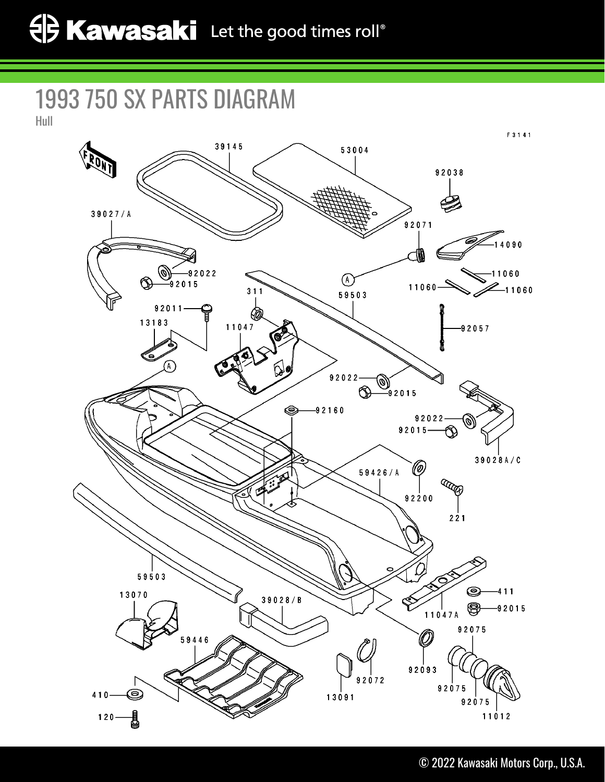1993 750 SX PARTS DIAGRAM

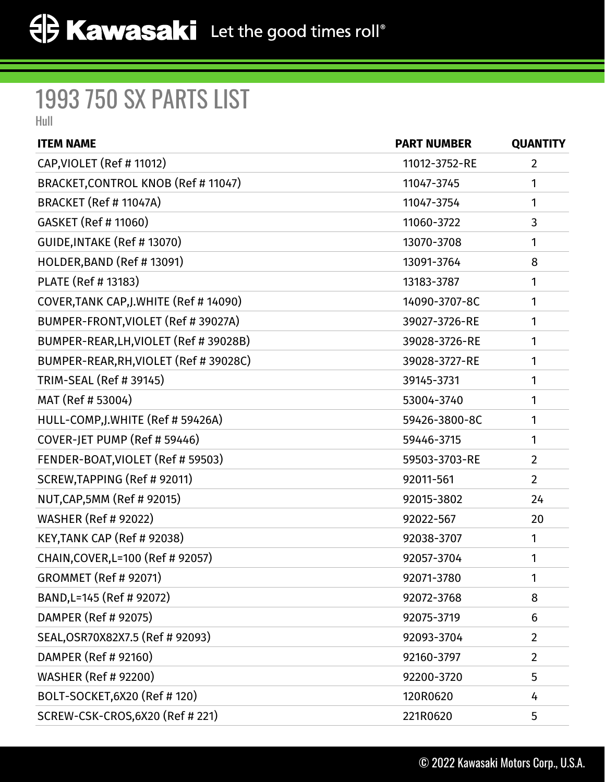## 1993 750 SX PARTS LIST

Hull

| <b>ITEM NAME</b>                        | <b>PART NUMBER</b> | <b>QUANTITY</b> |
|-----------------------------------------|--------------------|-----------------|
| CAP, VIOLET (Ref # 11012)               | 11012-3752-RE      | $\overline{2}$  |
| BRACKET, CONTROL KNOB (Ref # 11047)     | 11047-3745         | 1               |
| BRACKET (Ref # 11047A)                  | 11047-3754         | 1               |
| GASKET (Ref # 11060)                    | 11060-3722         | 3               |
| GUIDE, INTAKE (Ref # 13070)             | 13070-3708         | 1               |
| HOLDER, BAND (Ref # 13091)              | 13091-3764         | 8               |
| PLATE (Ref # 13183)                     | 13183-3787         | 1               |
| COVER, TANK CAP, J. WHITE (Ref # 14090) | 14090-3707-8C      | 1               |
| BUMPER-FRONT, VIOLET (Ref # 39027A)     | 39027-3726-RE      | 1               |
| BUMPER-REAR, LH, VIOLET (Ref # 39028B)  | 39028-3726-RE      | 1               |
| BUMPER-REAR, RH, VIOLET (Ref # 39028C)  | 39028-3727-RE      | 1               |
| TRIM-SEAL (Ref # 39145)                 | 39145-3731         | 1               |
| MAT (Ref # 53004)                       | 53004-3740         | 1               |
| HULL-COMP, J. WHITE (Ref # 59426A)      | 59426-3800-8C      | 1               |
| COVER-JET PUMP (Ref # 59446)            | 59446-3715         | 1               |
| FENDER-BOAT, VIOLET (Ref # 59503)       | 59503-3703-RE      | $\overline{2}$  |
| SCREW, TAPPING (Ref # 92011)            | 92011-561          | $\overline{2}$  |
| NUT, CAP, 5MM (Ref # 92015)             | 92015-3802         | 24              |
| <b>WASHER (Ref # 92022)</b>             | 92022-567          | 20              |
| KEY, TANK CAP (Ref # 92038)             | 92038-3707         | 1               |
| CHAIN, COVER, L=100 (Ref # 92057)       | 92057-3704         | 1               |
| <b>GROMMET (Ref # 92071)</b>            | 92071-3780         | 1               |
| BAND, L=145 (Ref # 92072)               | 92072-3768         | 8               |
| DAMPER (Ref # 92075)                    | 92075-3719         | 6               |
| SEAL, OSR70X82X7.5 (Ref # 92093)        | 92093-3704         | $\overline{2}$  |
| DAMPER (Ref # 92160)                    | 92160-3797         | $\overline{2}$  |
| <b>WASHER (Ref # 92200)</b>             | 92200-3720         | 5               |
| BOLT-SOCKET, 6X20 (Ref # 120)           | 120R0620           | 4               |
| SCREW-CSK-CROS, 6X20 (Ref # 221)        | 221R0620           | 5               |